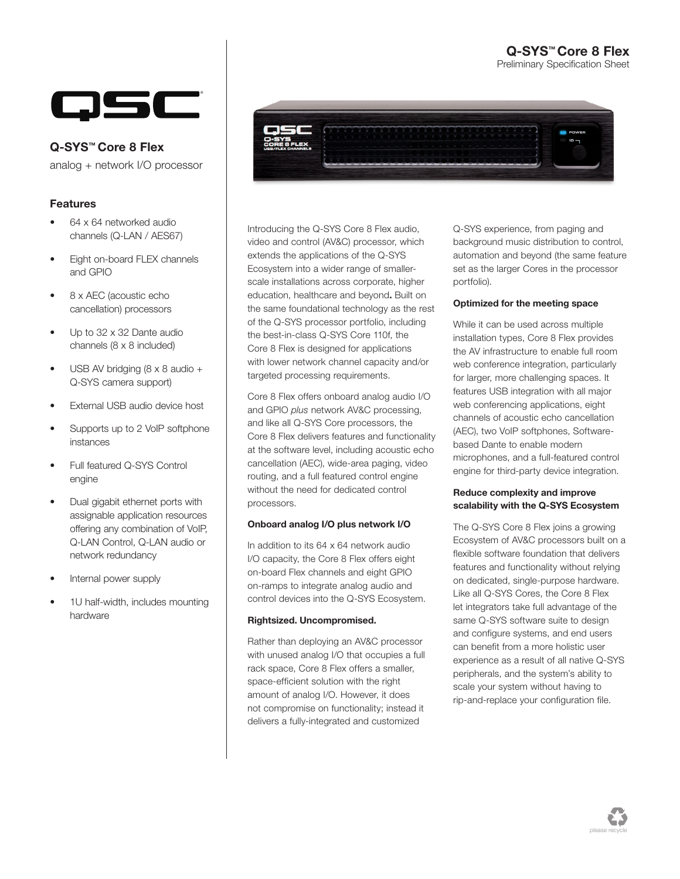#### Q-SYS™ Core 8 Flex Preliminary Specification Sheet



Q-SYS™ Core 8 Flex

analog + network I/O processor

### Features

- 64 x 64 networked audio channels (Q-LAN / AES67)
- Eight on-board FLEX channels and GPIO
- 8 x AEC (acoustic echo cancellation) processors
- Up to 32 x 32 Dante audio channels (8 x 8 included)
- USB AV bridging (8 x 8 audio + Q-SYS camera support)
- External USB audio device host
- Supports up to 2 VoIP softphone instances
- Full featured Q-SYS Control engine
- Dual gigabit ethernet ports with assignable application resources offering any combination of VoIP, Q-LAN Control, Q-LAN audio or network redundancy
- Internal power supply
- 1U half-width, includes mounting hardware



Introducing the Q-SYS Core 8 Flex audio, video and control (AV&C) processor, which extends the applications of the Q-SYS Ecosystem into a wider range of smallerscale installations across corporate, higher education, healthcare and beyond. Built on the same foundational technology as the rest of the Q-SYS processor portfolio, including the best-in-class Q-SYS Core 110f, the Core 8 Flex is designed for applications with lower network channel capacity and/or targeted processing requirements.

Core 8 Flex offers onboard analog audio I/O and GPIO *plus* network AV&C processing, and like all Q-SYS Core processors, the Core 8 Flex delivers features and functionality at the software level, including acoustic echo cancellation (AEC), wide-area paging, video routing, and a full featured control engine without the need for dedicated control processors.

#### Onboard analog I/O plus network I/O

In addition to its 64 x 64 network audio I/O capacity, the Core 8 Flex offers eight on-board Flex channels and eight GPIO on-ramps to integrate analog audio and control devices into the Q-SYS Ecosystem.

#### Rightsized. Uncompromised.

Rather than deploying an AV&C processor with unused analog I/O that occupies a full rack space, Core 8 Flex offers a smaller, space-efficient solution with the right amount of analog I/O. However, it does not compromise on functionality; instead it delivers a fully-integrated and customized

Q-SYS experience, from paging and background music distribution to control, automation and beyond (the same feature set as the larger Cores in the processor portfolio).

#### Optimized for the meeting space

While it can be used across multiple installation types, Core 8 Flex provides the AV infrastructure to enable full room web conference integration, particularly for larger, more challenging spaces. It features USB integration with all major web conferencing applications, eight channels of acoustic echo cancellation (AEC), two VoIP softphones, Softwarebased Dante to enable modern microphones, and a full-featured control engine for third-party device integration.

#### Reduce complexity and improve scalability with the Q-SYS Ecosystem

The Q-SYS Core 8 Flex joins a growing Ecosystem of AV&C processors built on a flexible software foundation that delivers features and functionality without relying on dedicated, single-purpose hardware. Like all Q-SYS Cores, the Core 8 Flex let integrators take full advantage of the same Q-SYS software suite to design and configure systems, and end users can benefit from a more holistic user experience as a result of all native Q-SYS peripherals, and the system's ability to scale your system without having to rip-and-replace your configuration file.

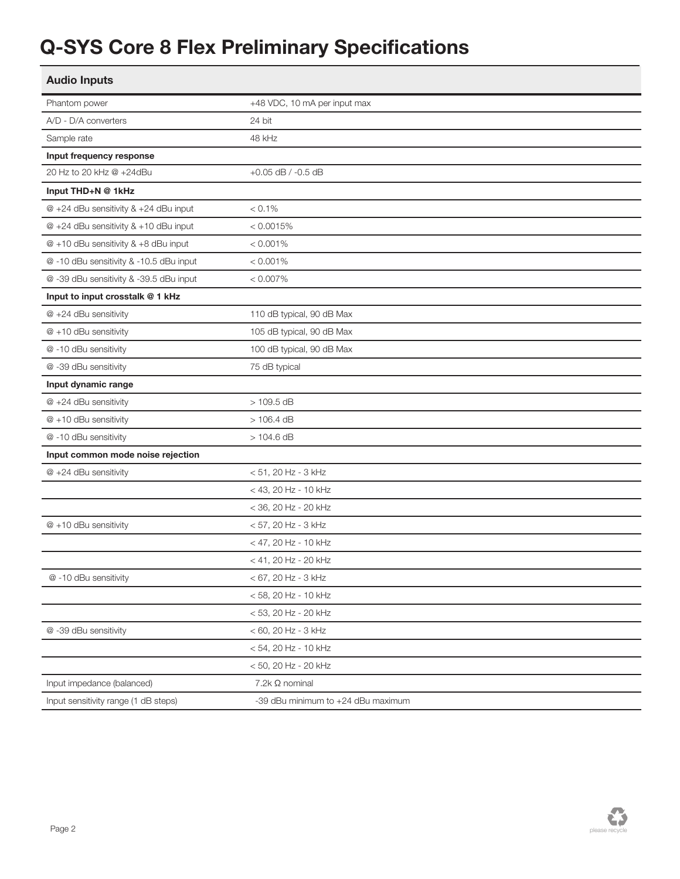# Q-SYS Core 8 Flex Preliminary Specifications

| <b>Audio Inputs</b>                     |                                    |
|-----------------------------------------|------------------------------------|
| Phantom power                           | +48 VDC, 10 mA per input max       |
| A/D - D/A converters                    | 24 bit                             |
| Sample rate                             | 48 kHz                             |
| Input frequency response                |                                    |
| 20 Hz to 20 kHz @ +24dBu                | $+0.05$ dB $/ -0.5$ dB             |
| Input THD+N @ 1kHz                      |                                    |
| @ +24 dBu sensitivity & +24 dBu input   | $< 0.1\%$                          |
| @ +24 dBu sensitivity & +10 dBu input   | < 0.0015%                          |
| @ +10 dBu sensitivity & +8 dBu input    | $< 0.001\%$                        |
| @ -10 dBu sensitivity & -10.5 dBu input | $< 0.001\%$                        |
| @-39 dBu sensitivity & -39.5 dBu input  | $< 0.007\%$                        |
| Input to input crosstalk @ 1 kHz        |                                    |
| @ +24 dBu sensitivity                   | 110 dB typical, 90 dB Max          |
| $@ + 10$ dBu sensitivity                | 105 dB typical, 90 dB Max          |
| @-10 dBu sensitivity                    | 100 dB typical, 90 dB Max          |
| @-39 dBu sensitivity                    | 75 dB typical                      |
| Input dynamic range                     |                                    |
| @ +24 dBu sensitivity                   | $>109.5$ dB                        |
| $@ + 10$ dBu sensitivity                | $>106.4$ dB                        |
| @-10 dBu sensitivity                    | $>104.6$ dB                        |
| Input common mode noise rejection       |                                    |
| @ +24 dBu sensitivity                   | < 51, 20 Hz - 3 kHz                |
|                                         | < 43, 20 Hz - 10 kHz               |
|                                         | < 36, 20 Hz - 20 kHz               |
| $@ + 10$ dBu sensitivity                | < 57, 20 Hz - 3 kHz                |
|                                         | < 47, 20 Hz - 10 kHz               |
|                                         | < 41, 20 Hz - 20 kHz               |
| @-10 dBu sensitivity                    | < 67, 20 Hz - 3 kHz                |
|                                         | < 58, 20 Hz - 10 kHz               |
|                                         | < 53, 20 Hz - 20 kHz               |
| @-39 dBu sensitivity                    | $< 60$ , 20 Hz - 3 kHz             |
|                                         | < 54, 20 Hz - 10 kHz               |
|                                         | < 50, 20 Hz - 20 kHz               |
| Input impedance (balanced)              | 7.2k Ω nominal                     |
| Input sensitivity range (1 dB steps)    | -39 dBu minimum to +24 dBu maximum |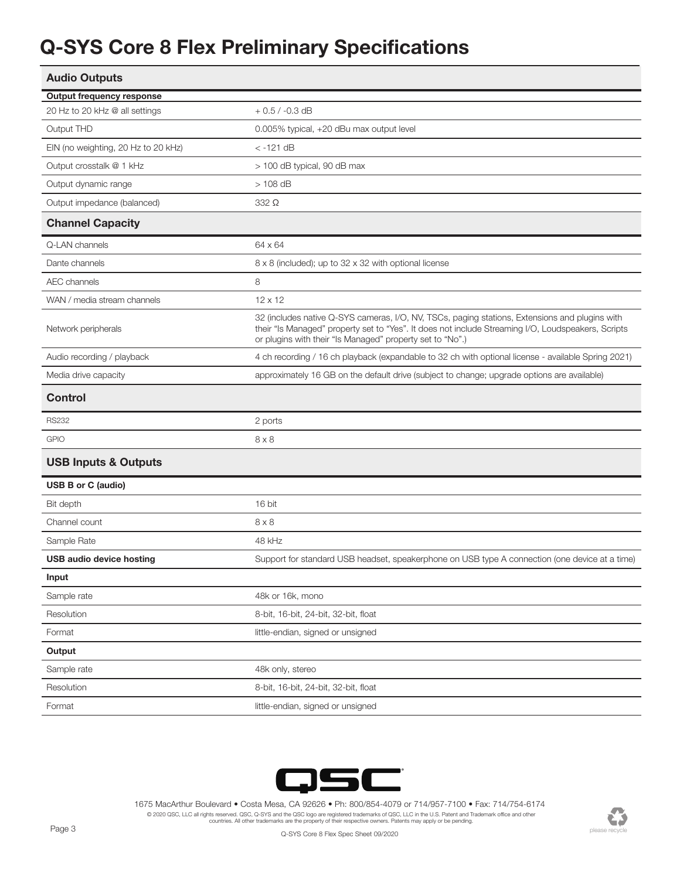## Q-SYS Core 8 Flex Preliminary Specifications

| <b>Audio Outputs</b>                |                                                                                                                                                                                                                                                                   |  |
|-------------------------------------|-------------------------------------------------------------------------------------------------------------------------------------------------------------------------------------------------------------------------------------------------------------------|--|
| <b>Output frequency response</b>    |                                                                                                                                                                                                                                                                   |  |
| 20 Hz to 20 kHz @ all settings      | $+0.5 / -0.3$ dB                                                                                                                                                                                                                                                  |  |
| Output THD                          | 0.005% typical, +20 dBu max output level                                                                                                                                                                                                                          |  |
| EIN (no weighting, 20 Hz to 20 kHz) | < -121 dB                                                                                                                                                                                                                                                         |  |
| Output crosstalk @ 1 kHz            | > 100 dB typical, 90 dB max                                                                                                                                                                                                                                       |  |
| Output dynamic range                | $>108$ dB                                                                                                                                                                                                                                                         |  |
| Output impedance (balanced)         | 332 Ω                                                                                                                                                                                                                                                             |  |
| <b>Channel Capacity</b>             |                                                                                                                                                                                                                                                                   |  |
| Q-LAN channels                      | 64 x 64                                                                                                                                                                                                                                                           |  |
| Dante channels                      | 8 x 8 (included); up to 32 x 32 with optional license                                                                                                                                                                                                             |  |
| <b>AEC</b> channels                 | 8                                                                                                                                                                                                                                                                 |  |
| WAN / media stream channels         | $12 \times 12$                                                                                                                                                                                                                                                    |  |
| Network peripherals                 | 32 (includes native Q-SYS cameras, I/O, NV, TSCs, paging stations, Extensions and plugins with<br>their "Is Managed" property set to "Yes". It does not include Streaming I/O, Loudspeakers, Scripts<br>or plugins with their "Is Managed" property set to "No".) |  |
| Audio recording / playback          | 4 ch recording / 16 ch playback (expandable to 32 ch with optional license - available Spring 2021)                                                                                                                                                               |  |
| Media drive capacity                | approximately 16 GB on the default drive (subject to change; upgrade options are available)                                                                                                                                                                       |  |
| <b>Control</b>                      |                                                                                                                                                                                                                                                                   |  |
| <b>RS232</b>                        | 2 ports                                                                                                                                                                                                                                                           |  |
| <b>GPIO</b>                         | $8 \times 8$                                                                                                                                                                                                                                                      |  |
| <b>USB Inputs &amp; Outputs</b>     |                                                                                                                                                                                                                                                                   |  |
| <b>USB B or C (audio)</b>           |                                                                                                                                                                                                                                                                   |  |
| Bit depth                           | 16 bit                                                                                                                                                                                                                                                            |  |
| Channel count                       | $8 \times 8$                                                                                                                                                                                                                                                      |  |
| Sample Rate                         | 48 kHz                                                                                                                                                                                                                                                            |  |
| USB audio device hosting            | Support for standard USB headset, speakerphone on USB type A connection (one device at a time)                                                                                                                                                                    |  |
| Input                               |                                                                                                                                                                                                                                                                   |  |
| Sample rate                         | 48k or 16k, mono                                                                                                                                                                                                                                                  |  |
|                                     |                                                                                                                                                                                                                                                                   |  |
| Resolution                          | 8-bit, 16-bit, 24-bit, 32-bit, float                                                                                                                                                                                                                              |  |
| Format                              | little-endian, signed or unsigned                                                                                                                                                                                                                                 |  |
| Output                              |                                                                                                                                                                                                                                                                   |  |
| Sample rate                         | 48k only, stereo                                                                                                                                                                                                                                                  |  |
| Resolution                          | 8-bit, 16-bit, 24-bit, 32-bit, float                                                                                                                                                                                                                              |  |



1675 MacArthur Boulevard • Costa Mesa, CA 92626 • Ph: 800/854-4079 or 714/957-7100 • Fax: 714/754-6174 © 2020 QSC, LLC all rights reserved. QSC, Q-SYS and the QSC logo are registered trademarks of QSC, LLC in the U.S. Patent and Trademark office and other<br>countries. All other trademarks are the property of their respective